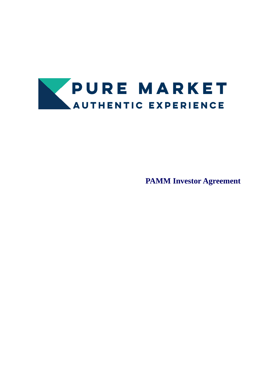

**PAMM Investor Agreement**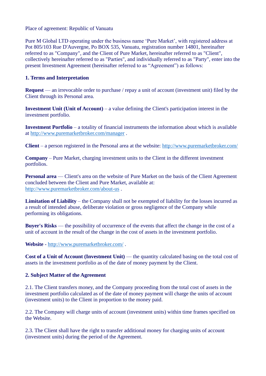Place of agreement: Republic of Vanuatu

Pure M Global LTD operating under the business name 'Pure Market', with registered address at Pot 805/103 Rue D'Auvergne, Po BOX 535, Vanuatu, registration number 14801, hereinafter referred to as "Company", and the Client of Pure Market, hereinafter referred to as "Client", collectively hereinafter referred to as "Parties", and individually referred to as "Party", enter into the present Investment Agreement (hereinafter referred to as "Agreement") as follows:

# **1. Terms and Interpretation**

**Request** — an irrevocable order to purchase / repay a unit of account (investment unit) filed by the Client through its Personal area.

**Investment Unit (Unit of Account)** – a value defining the Client's participation interest in the investment portfolio.

**Investment Portfolio** – a totality of financial instruments the information about which is available at<http://www.puremarketbroker.com/manager> .

**Client** – a person registered in the Personal area at the website:<http://www.puremarketbroker.com/>

**Company** – Pure Market, charging investment units to the Client in the different investment portfolios.

**Personal area** — Client's area on the website of Pure Market on the basis of the Client Agreement concluded between the Client and Pure Market, available at: <http://www.puremarketbroker.com/about-us> .

**Limitation of Liability** – the Company shall not be exempted of liability for the losses incurred as a result of intended abuse, deliberate violation or gross negligence of the Company while performing its obligations.

**Buyer's Risks** — the possibility of occurrence of the events that affect the change in the cost of a unit of account in the result of the change in the cost of assets in the investment portfolio.

**Website** - <http://www.puremarketbroker.com/> .

**Cost of a Unit of Account (Investment Unit)** — the quantity calculated basing on the total cost of assets in the investment portfolio as of the date of money payment by the Client.

### **2. Subject Matter of the Agreement**

2.1. The Client transfers money, and the Company proceeding from the total cost of assets in the investment portfolio calculated as of the date of money payment will charge the units of account (investment units) to the Client in proportion to the money paid.

2.2. The Company will charge units of account (investment units) within time frames specified on the Website.

2.3. The Client shall have the right to transfer additional money for charging units of account (investment units) during the period of the Agreement.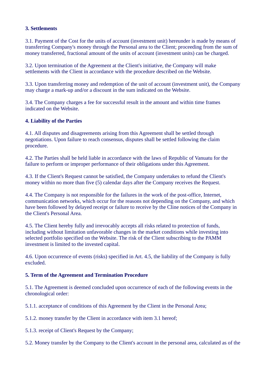### **3. Settlements**

3.1. Payment of the Cost for the units of account (investment unit) hereunder is made by means of transferring Company's money through the Personal area to the Client; proceeding from the sum of money transferred, fractional amount of the units of account (investment units) can be charged.

3.2. Upon termination of the Agreement at the Client's initiative, the Company will make settlements with the Client in accordance with the procedure described on the Website.

3.3. Upon transferring money and redemption of the unit of account (investment unit), the Company may charge a mark-up and/or a discount in the sum indicated on the Website.

3.4. The Company charges a fee for successful result in the amount and within time frames indicated on the Website.

#### **4. Liability of the Parties**

4.1. All disputes and disagreements arising from this Agreement shall be settled through negotiations. Upon failure to reach consensus, disputes shall be settled following the claim procedure.

4.2. The Parties shall be held liable in accordance with the laws of Republic of Vanuatu for the failure to perform or improper performance of their obligations under this Agreement.

4.3. If the Client's Request cannot be satisfied, the Company undertakes to refund the Client's money within no more than five (5) calendar days after the Company receives the Request.

4.4. The Company is not responsible for the failures in the work of the post-office, Internet, communication networks, which occur for the reasons not depending on the Company, and which have been followed by delayed receipt or failure to receive by the Cline notices of the Company in the Client's Personal Area.

4.5. The Client hereby fully and irrevocably accepts all risks related to protection of funds, including without limitation unfavorable changes in the market conditions while investing into selected portfolio specified on the Website. The risk of the Client subscribing to the PAMM investment is limited to the invested capital.

4.6. Upon occurrence of events (risks) specified in Art. 4.5, the liability of the Company is fully excluded.

### **5. Term of the Agreement and Termination Procedure**

5.1. The Agreement is deemed concluded upon occurrence of each of the following events in the chronological order:

5.1.1. acceptance of conditions of this Agreement by the Client in the Personal Area;

5.1.2. money transfer by the Client in accordance with item 3.1 hereof;

5.1.3. receipt of Client's Request by the Company;

5.2. Money transfer by the Company to the Client's account in the personal area, calculated as of the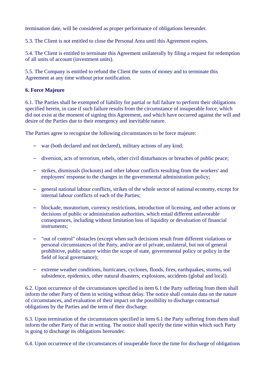termination date, will be considered as proper performance of obligations hereunder.

5.3. The Client is not entitled to close the Personal Area until this Agreement expires.

5.4. The Client is entitled to terminate this Agreement unilaterally by filing a request for redemption of all units of account (investment units).

5.5. The Company is entitled to refund the Client the sums of money and to terminate this Agreement at any time without prior notification.

# **6. Force Majeure**

6.1. The Parties shall be exempted of liability for partial or full failure to perform their obligations specified herein, in case if such failure results from the circumstance of insuperable force, which did not exist at the moment of signing this Agreement, and which have occurred against the will and desire of the Parties due to their emergency and inevitable nature.

The Parties agree to recognize the following circumstances to be force majeure:

- war (both declared and not declared), military actions of any kind;
- diversion, acts of terrorism, rebels, other civil disturbances or breaches of public peace;
- strikes, dismissals (lockouts) and other labour conflicts resulting from the workers' and employees' response to the changes in the governmental administration policy;
- general national labour conflicts, strikes of the whole sector of national economy, except for internal labour conflicts of each of the Parties;
- blockade, moratorium, currency restrictions, introduction of licensing, and other actions or decisions of public or administration authorities, which entail different unfavorable consequences, including without limitation loss of liquidity or devaluation of financial instruments;
- "out of control" obstacles (except when such decisions result from different violations or personal circumstances of the Party, and/or are of private, unilateral, but not of general prohibitive, public nature within the scope of state, governmental policy or policy in the field of local governance);
- extreme weather conditions, hurricanes, cyclones, floods, fires, earthquakes, storms, soil subsidence, epidemics, other natural disasters; explosions, accidents (global and local).

6.2. Upon occurrence of the circumstances specified in item 6.1 the Party suffering from them shall inform the other Party of them in writing without delay. The notice shall contain data on the nature of circumstances, and evaluation of their impact on the possibility to discharge contractual obligations by the Parties and the term of their discharge.

6.3. Upon termination of the circumstances specified in item 6.1 the Party suffering from them shall inform the other Party of that in writing. The notice shall specify the time within which such Party is going to discharge its obligations hereunder.

6.4. Upon occurrence of the circumstances of insuperable force the time for discharge of obligations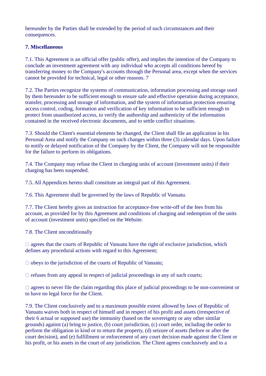hereunder by the Parties shall be extended by the period of such circumstances and their consequences.

# **7. Miscellaneous**

7.1. This Agreement is an official offer (public offer), and implies the intention of the Company to conclude an investment agreement with any individual who accepts all conditions hereof by transferring money to the Company's accounts through the Personal area, except when the services cannot be provided for technical, legal or other reasons. 7

7.2. The Parties recognize the systems of communication, information processing and storage used by them hereunder to be sufficient enough to ensure safe and effective operation during acceptance, transfer, processing and storage of information, and the system of information protection ensuring access control, coding, formation and verification of key information to be sufficient enough to protect from unauthorized access, to verify the authorship and authenticity of the information contained in the received electronic documents, and to settle conflict situations.

7.3. Should the Client's essential elements be changed, the Client shall file an application in his Personal Area and notify the Company on such changes within three (3) calendar days. Upon failure to notify or delayed notification of the Company by the Client, the Company will not be responsible for the failure to perform its obligations.

7.4. The Company may refuse the Client in charging units of account (investment units) if their charging has been suspended.

7.5. All Appendices hereto shall constitute an integral part of this Agreement.

7.6. This Agreement shall be governed by the laws of Republic of Vanuatu.

7.7. The Client hereby gives an instruction for acceptance-free write-off of the fees from his account, as provided for by this Agreement and conditions of charging and redemption of the units of account (investment units) specified on the Website.

7.8. The Client unconditionally

 $\Box$  agrees that the courts of Republic of Vanuatu have the right of exclusive jurisdiction, which defines any procedural actions with regard to this Agreement;

 $\Box$  obeys to the jurisdiction of the courts of Republic of Vanuatu;

 $\Box$  refuses from any appeal in respect of judicial proceedings in any of such courts;

 $\Box$  agrees to never file the claim regarding this place of judicial proceedings to be non-convenient or to have no legal force for the Client.

7.9. The Client conclusively and to a maximum possible extent allowed by laws of Republic of Vanuatu waives both in respect of himself and in respect of his profit and assets (irrespective of their 6 actual or supposed use) the immunity (based on the sovereignty or any other similar grounds) against (a) bring to justice, (b) court jurisdiction, (c) court order, including the order to perform the obligation in kind or to return the property, (d) seizure of assets (before or after the court decision), and (e) fulfillment or enforcement of any court decision made against the Client or his profit, or his assets in the court of any jurisdiction. The Client agrees conclusively and to a